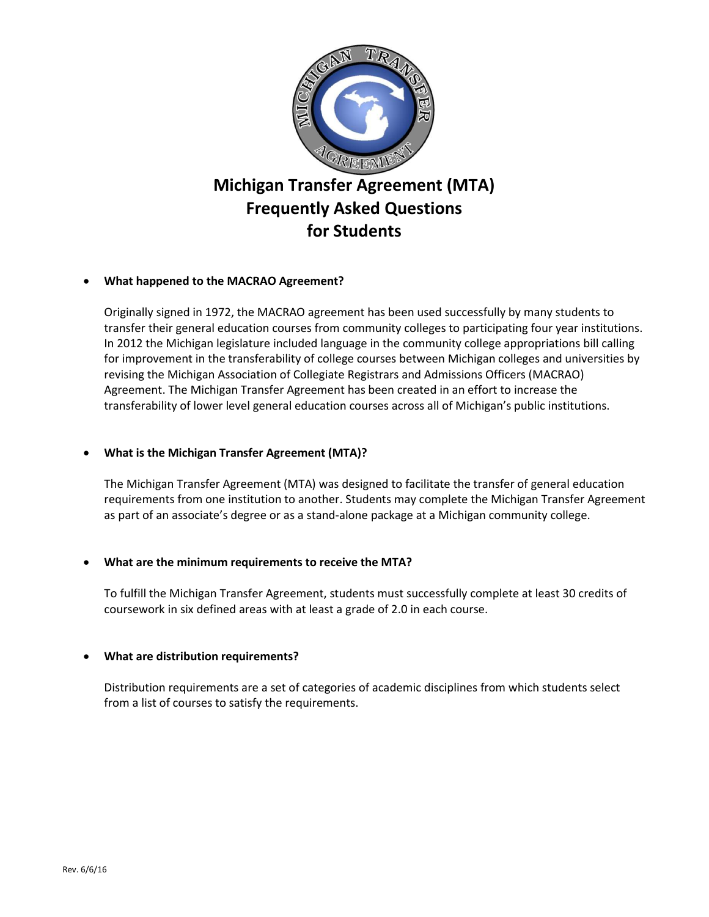

# **What happened to the MACRAO Agreement?**

Originally signed in 1972, the MACRAO agreement has been used successfully by many students to transfer their general education courses from community colleges to participating four year institutions. In 2012 the Michigan legislature included language in the community college appropriations bill calling for improvement in the transferability of college courses between Michigan colleges and universities by revising the Michigan Association of Collegiate Registrars and Admissions Officers (MACRAO) Agreement. The Michigan Transfer Agreement has been created in an effort to increase the transferability of lower level general education courses across all of Michigan's public institutions.

# **What is the Michigan Transfer Agreement (MTA)?**

The Michigan Transfer Agreement (MTA) was designed to facilitate the transfer of general education requirements from one institution to another. Students may complete the Michigan Transfer Agreement as part of an associate's degree or as a stand-alone package at a Michigan community college.

## **What are the minimum requirements to receive the MTA?**

To fulfill the Michigan Transfer Agreement, students must successfully complete at least 30 credits of coursework in six defined areas with at least a grade of 2.0 in each course.

## **What are distribution requirements?**

Distribution requirements are a set of categories of academic disciplines from which students select from a list of courses to satisfy the requirements.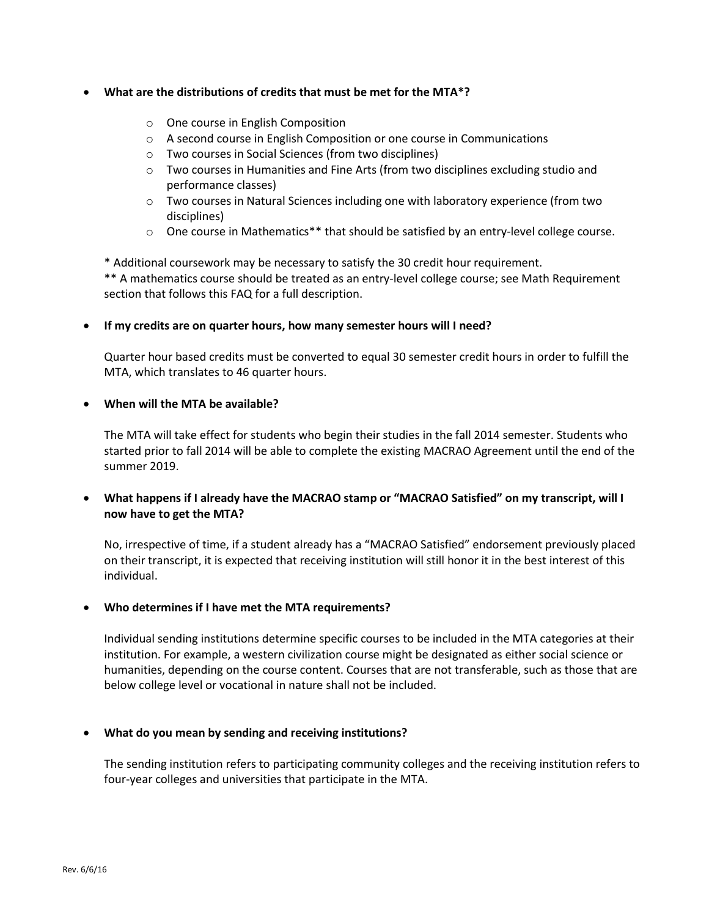### **What are the distributions of credits that must be met for the MTA\*?**

- o One course in English Composition
- o A second course in English Composition or one course in Communications
- o Two courses in Social Sciences (from two disciplines)
- o Two courses in Humanities and Fine Arts (from two disciplines excluding studio and performance classes)
- $\circ$  Two courses in Natural Sciences including one with laboratory experience (from two disciplines)
- o One course in Mathematics\*\* that should be satisfied by an entry-level college course.

\* Additional coursework may be necessary to satisfy the 30 credit hour requirement. \*\* A mathematics course should be treated as an entry-level college course; see Math Requirement section that follows this FAQ for a full description.

#### **If my credits are on quarter hours, how many semester hours will I need?**

Quarter hour based credits must be converted to equal 30 semester credit hours in order to fulfill the MTA, which translates to 46 quarter hours.

#### **When will the MTA be available?**

The MTA will take effect for students who begin their studies in the fall 2014 semester. Students who started prior to fall 2014 will be able to complete the existing MACRAO Agreement until the end of the summer 2019.

# **What happens if I already have the MACRAO stamp or "MACRAO Satisfied" on my transcript, will I now have to get the MTA?**

No, irrespective of time, if a student already has a "MACRAO Satisfied" endorsement previously placed on their transcript, it is expected that receiving institution will still honor it in the best interest of this individual.

## **Who determines if I have met the MTA requirements?**

Individual sending institutions determine specific courses to be included in the MTA categories at their institution. For example, a western civilization course might be designated as either social science or humanities, depending on the course content. Courses that are not transferable, such as those that are below college level or vocational in nature shall not be included.

#### **What do you mean by sending and receiving institutions?**

The sending institution refers to participating community colleges and the receiving institution refers to four-year colleges and universities that participate in the MTA.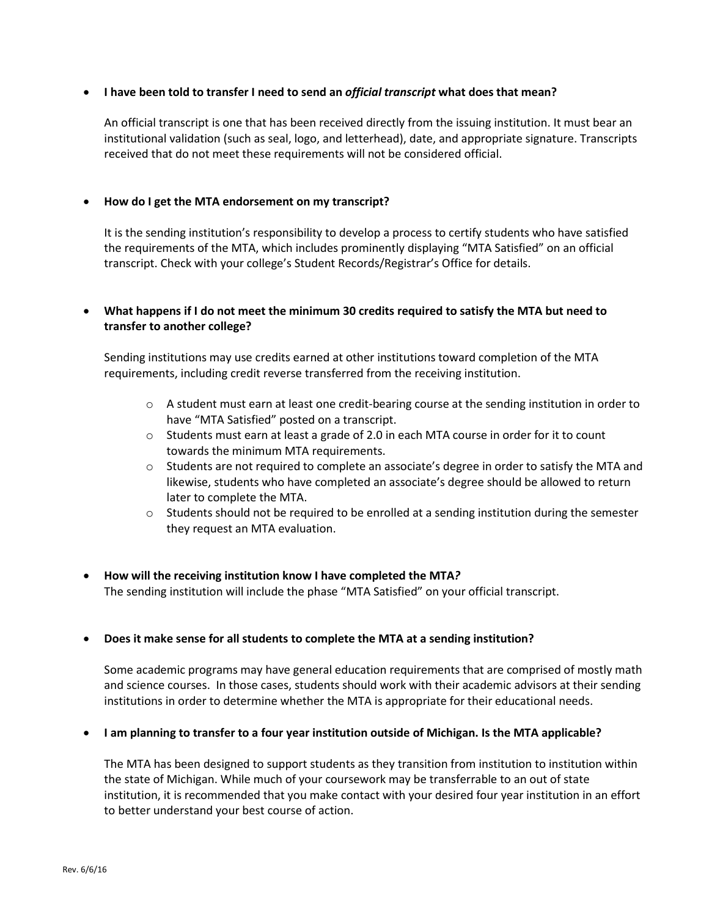### **I have been told to transfer I need to send an** *official transcript* **what does that mean?**

An official transcript is one that has been received directly from the issuing institution. It must bear an institutional validation (such as seal, logo, and letterhead), date, and appropriate signature. Transcripts received that do not meet these requirements will not be considered official.

### **How do I get the MTA endorsement on my transcript?**

It is the sending institution's responsibility to develop a process to certify students who have satisfied the requirements of the MTA, which includes prominently displaying "MTA Satisfied" on an official transcript. Check with your college's Student Records/Registrar's Office for details.

## **What happens if I do not meet the minimum 30 credits required to satisfy the MTA but need to transfer to another college?**

Sending institutions may use credits earned at other institutions toward completion of the MTA requirements, including credit reverse transferred from the receiving institution.

- $\circ$  A student must earn at least one credit-bearing course at the sending institution in order to have "MTA Satisfied" posted on a transcript.
- o Students must earn at least a grade of 2.0 in each MTA course in order for it to count towards the minimum MTA requirements.
- o Students are not required to complete an associate's degree in order to satisfy the MTA and likewise, students who have completed an associate's degree should be allowed to return later to complete the MTA.
- $\circ$  Students should not be required to be enrolled at a sending institution during the semester they request an MTA evaluation.
- **How will the receiving institution know I have completed the MTA***?* The sending institution will include the phase "MTA Satisfied" on your official transcript.

#### **Does it make sense for all students to complete the MTA at a sending institution?**

Some academic programs may have general education requirements that are comprised of mostly math and science courses. In those cases, students should work with their academic advisors at their sending institutions in order to determine whether the MTA is appropriate for their educational needs.

#### **I am planning to transfer to a four year institution outside of Michigan. Is the MTA applicable?**

The MTA has been designed to support students as they transition from institution to institution within the state of Michigan. While much of your coursework may be transferrable to an out of state institution, it is recommended that you make contact with your desired four year institution in an effort to better understand your best course of action.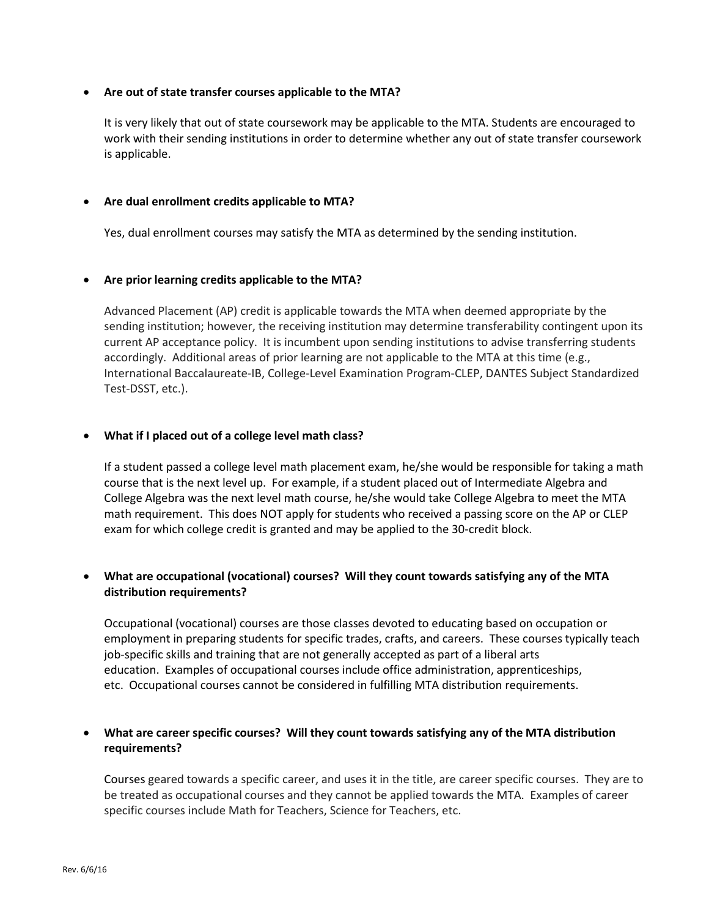### **Are out of state transfer courses applicable to the MTA?**

It is very likely that out of state coursework may be applicable to the MTA. Students are encouraged to work with their sending institutions in order to determine whether any out of state transfer coursework is applicable.

### **Are dual enrollment credits applicable to MTA?**

Yes, dual enrollment courses may satisfy the MTA as determined by the sending institution.

#### **Are prior learning credits applicable to the MTA?**

Advanced Placement (AP) credit is applicable towards the MTA when deemed appropriate by the sending institution; however, the receiving institution may determine transferability contingent upon its current AP acceptance policy. It is incumbent upon sending institutions to advise transferring students accordingly. Additional areas of prior learning are not applicable to the MTA at this time (e.g., International Baccalaureate-IB, College-Level Examination Program-CLEP, DANTES Subject Standardized Test-DSST, etc.).

#### **What if I placed out of a college level math class?**

If a student passed a college level math placement exam, he/she would be responsible for taking a math course that is the next level up. For example, if a student placed out of Intermediate Algebra and College Algebra was the next level math course, he/she would take College Algebra to meet the MTA math requirement. This does NOT apply for students who received a passing score on the AP or CLEP exam for which college credit is granted and may be applied to the 30-credit block.

# **What are occupational (vocational) courses? Will they count towards satisfying any of the MTA distribution requirements?**

Occupational (vocational) courses are those classes devoted to educating based on occupation or employment in preparing students for specific trades, crafts, and careers. These courses typically teach job-specific skills and training that are not generally accepted as part of a liberal arts education. Examples of occupational courses include office administration, apprenticeships, etc. Occupational courses cannot be considered in fulfilling MTA distribution requirements.

# **What are career specific courses? Will they count towards satisfying any of the MTA distribution requirements?**

Courses geared towards a specific career, and uses it in the title, are career specific courses. They are to be treated as occupational courses and they cannot be applied towards the MTA. Examples of career specific courses include Math for Teachers, Science for Teachers, etc.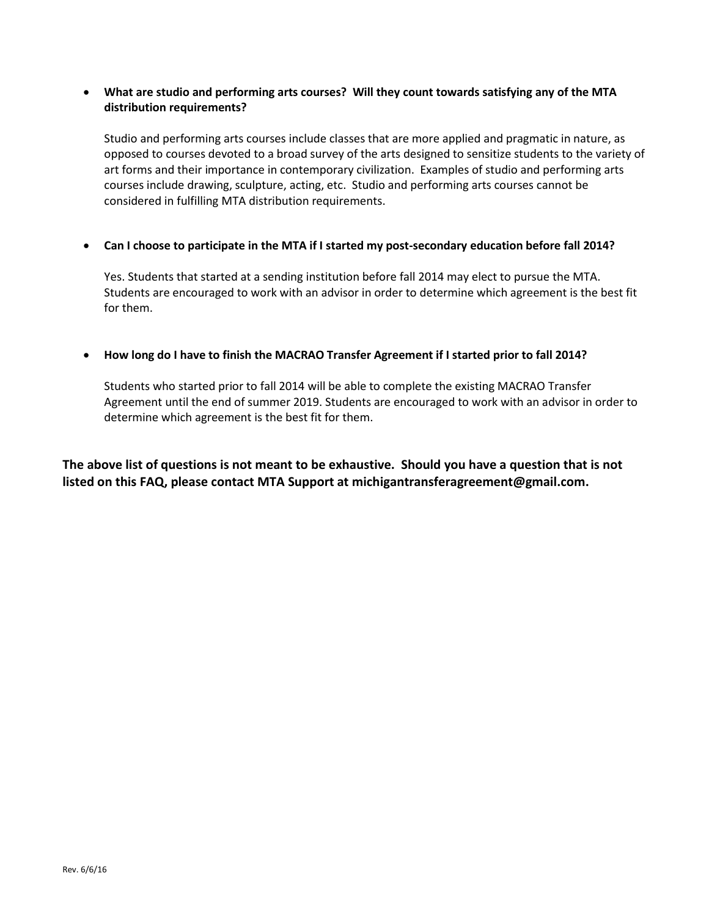## **What are studio and performing arts courses? Will they count towards satisfying any of the MTA distribution requirements?**

Studio and performing arts courses include classes that are more applied and pragmatic in nature, as opposed to courses devoted to a broad survey of the arts designed to sensitize students to the variety of art forms and their importance in contemporary civilization. Examples of studio and performing arts courses include drawing, sculpture, acting, etc. Studio and performing arts courses cannot be considered in fulfilling MTA distribution requirements.

## **Can I choose to participate in the MTA if I started my post-secondary education before fall 2014?**

Yes. Students that started at a sending institution before fall 2014 may elect to pursue the MTA. Students are encouraged to work with an advisor in order to determine which agreement is the best fit for them.

## **How long do I have to finish the MACRAO Transfer Agreement if I started prior to fall 2014?**

Students who started prior to fall 2014 will be able to complete the existing MACRAO Transfer Agreement until the end of summer 2019. Students are encouraged to work with an advisor in order to determine which agreement is the best fit for them.

**The above list of questions is not meant to be exhaustive. Should you have a question that is not listed on this FAQ, please contact MTA Support at michigantransferagreement@gmail.com.**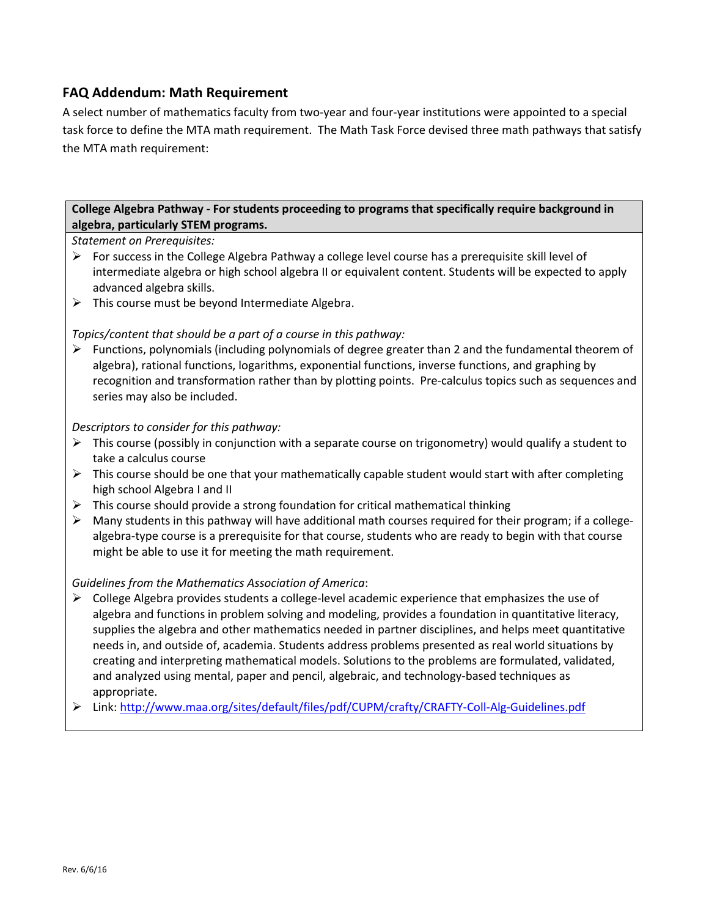# **FAQ Addendum: Math Requirement**

A select number of mathematics faculty from two-year and four-year institutions were appointed to a special task force to define the MTA math requirement. The Math Task Force devised three math pathways that satisfy the MTA math requirement:

# **College Algebra Pathway - For students proceeding to programs that specifically require background in algebra, particularly STEM programs.**

*Statement on Prerequisites:*

- $\triangleright$  For success in the College Algebra Pathway a college level course has a prerequisite skill level of intermediate algebra or high school algebra II or equivalent content. Students will be expected to apply advanced algebra skills.
- $\triangleright$  This course must be beyond Intermediate Algebra.

# *Topics/content that should be a part of a course in this pathway:*

 Functions, polynomials (including polynomials of degree greater than 2 and the fundamental theorem of algebra), rational functions, logarithms, exponential functions, inverse functions, and graphing by recognition and transformation rather than by plotting points. Pre-calculus topics such as sequences and series may also be included.

# *Descriptors to consider for this pathway:*

- $\triangleright$  This course (possibly in conjunction with a separate course on trigonometry) would qualify a student to take a calculus course
- $\triangleright$  This course should be one that your mathematically capable student would start with after completing high school Algebra I and II
- $\triangleright$  This course should provide a strong foundation for critical mathematical thinking
- Many students in this pathway will have additional math courses required for their program; if a collegealgebra-type course is a prerequisite for that course, students who are ready to begin with that course might be able to use it for meeting the math requirement.

## *Guidelines from the Mathematics Association of America*:

- $\triangleright$  College Algebra provides students a college-level academic experience that emphasizes the use of algebra and functions in problem solving and modeling, provides a foundation in quantitative literacy, supplies the algebra and other mathematics needed in partner disciplines, and helps meet quantitative needs in, and outside of, academia. Students address problems presented as real world situations by creating and interpreting mathematical models. Solutions to the problems are formulated, validated, and analyzed using mental, paper and pencil, algebraic, and technology-based techniques as appropriate.
- Link: http://www.maa.org/sites/default/files/pdf/CUPM/crafty/CRAFTY-Coll-Alg-Guidelines.pdf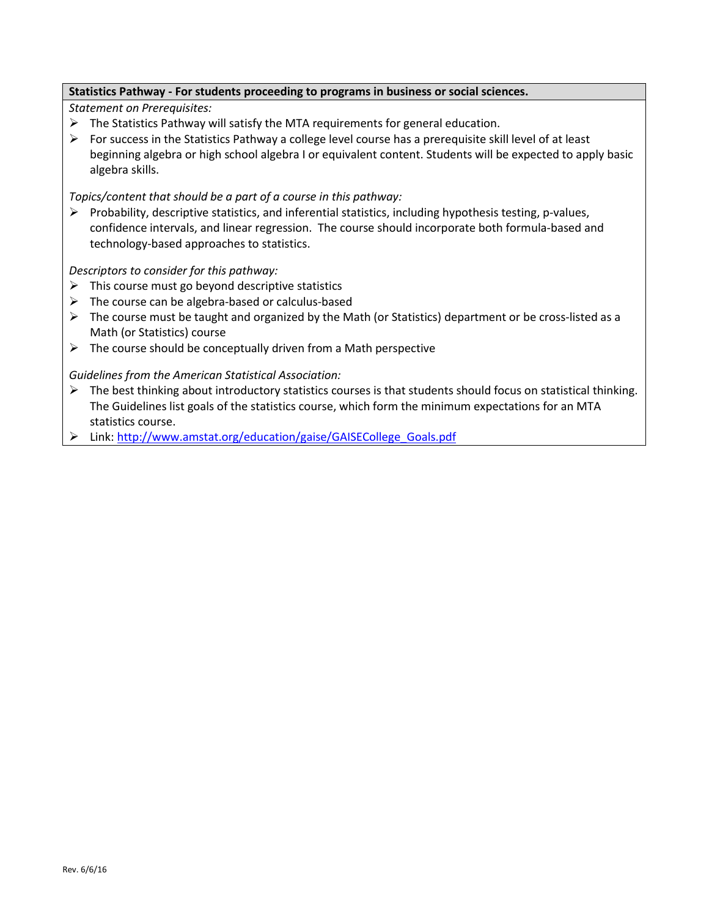## **Statistics Pathway - For students proceeding to programs in business or social sciences.**

*Statement on Prerequisites:*

- $\triangleright$  The Statistics Pathway will satisfy the MTA requirements for general education.
- $\triangleright$  For success in the Statistics Pathway a college level course has a prerequisite skill level of at least beginning algebra or high school algebra I or equivalent content. Students will be expected to apply basic algebra skills.

*Topics/content that should be a part of a course in this pathway:* 

 $\triangleright$  Probability, descriptive statistics, and inferential statistics, including hypothesis testing, p-values, confidence intervals, and linear regression. The course should incorporate both formula-based and technology-based approaches to statistics.

*Descriptors to consider for this pathway:*

- $\triangleright$  This course must go beyond descriptive statistics
- $\triangleright$  The course can be algebra-based or calculus-based
- $\triangleright$  The course must be taught and organized by the Math (or Statistics) department or be cross-listed as a Math (or Statistics) course
- $\triangleright$  The course should be conceptually driven from a Math perspective

*Guidelines from the American Statistical Association:* 

- $\triangleright$  The best thinking about introductory statistics courses is that students should focus on statistical thinking. The Guidelines list goals of the statistics course, which form the minimum expectations for an MTA statistics course.
- Link: http://www.amstat.org/education/gaise/GAISECollege\_Goals.pdf